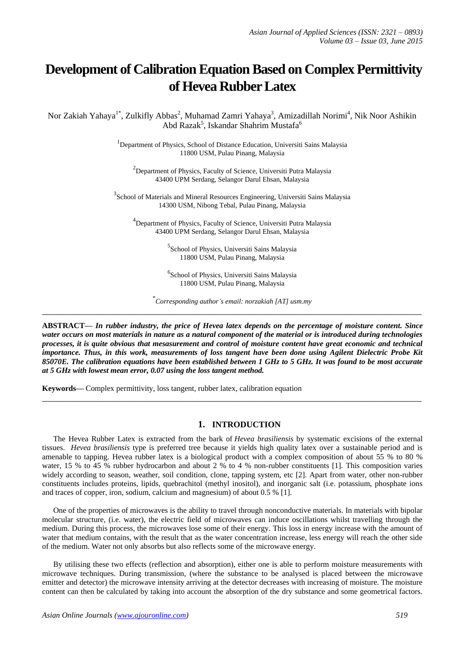# **Development of Calibration Equation Based on Complex Permittivity of Hevea Rubber Latex**

Nor Zakiah Yahaya<sup>1\*</sup>, Zulkifly Abbas<sup>2</sup>, Muhamad Zamri Yahaya<sup>3</sup>, Amizadillah Norimi<sup>4</sup>, Nik Noor Ashikin Abd Razak<sup>5</sup>, Iskandar Shahrim Mustafa<sup>6</sup>

> <sup>1</sup>Department of Physics, School of Distance Education, Universiti Sains Malaysia 11800 USM, Pulau Pinang, Malaysia

<sup>2</sup>Department of Physics, Faculty of Science, Universiti Putra Malaysia 43400 UPM Serdang, Selangor Darul Ehsan, Malaysia

<sup>3</sup> School of Materials and Mineral Resources Engineering, Universiti Sains Malaysia 14300 USM, Nibong Tebal, Pulau Pinang, Malaysia

<sup>4</sup>Department of Physics, Faculty of Science, Universiti Putra Malaysia 43400 UPM Serdang, Selangor Darul Ehsan, Malaysia

> 5 School of Physics, Universiti Sains Malaysia 11800 USM, Pulau Pinang, Malaysia

> 6 School of Physics, Universiti Sains Malaysia 11800 USM, Pulau Pinang, Malaysia

\* *Corresponding author's email: norzakiah [AT] usm.my* **\_\_\_\_\_\_\_\_\_\_\_\_\_\_\_\_\_\_\_\_\_\_\_\_\_\_\_\_\_\_\_\_\_\_\_\_\_\_\_\_\_\_\_\_\_\_\_\_\_\_\_\_\_\_\_\_\_\_\_\_\_\_\_\_\_\_\_\_\_\_\_\_\_\_\_\_\_\_\_\_\_**

**ABSTRACT—** *In rubber industry, the price of Hevea latex depends on the percentage of moisture content. Since water occurs on most materials in nature as a natural component of the material or is introduced during technologies processes, it is quite obvious that mesasurement and control of moisture content have great economic and technical importance. Thus, in this work, measurements of loss tangent have been done using Agilent Dielectric Probe Kit 85070E. The calibration equations have been established between 1 GHz to 5 GHz. It was found to be most accurate at 5 GHz with lowest mean error, 0.07 using the loss tangent method.*

**\_\_\_\_\_\_\_\_\_\_\_\_\_\_\_\_\_\_\_\_\_\_\_\_\_\_\_\_\_\_\_\_\_\_\_\_\_\_\_\_\_\_\_\_\_\_\_\_\_\_\_\_\_\_\_\_\_\_\_\_\_\_\_\_\_\_\_\_\_\_\_\_\_\_\_\_\_\_\_\_\_**

**Keywords—** Complex permittivity, loss tangent, rubber latex, calibration equation

## **1. INTRODUCTION**

The Hevea Rubber Latex is extracted from the bark of *Hevea brasiliensis* by systematic excisions of the external tissues. *Hevea brasiliensis* type is preferred tree because it yields high quality latex over a sustainable period and is amenable to tapping. Hevea rubber latex is a biological product with a complex composition of about 55 % to 80 % water, 15 % to 45 % rubber hydrocarbon and about 2 % to 4 % non-rubber constituents [1]. This composition varies widely according to season, weather, soil condition, clone, tapping system, etc [2]. Apart from water, other non-rubber constituents includes proteins, lipids, quebrachitol (methyl inositol), and inorganic salt (i.e. potassium, phosphate ions and traces of copper, iron, sodium, calcium and magnesium) of about 0.5 % [1].

One of the properties of microwaves is the ability to travel through nonconductive materials. In materials with bipolar molecular structure, (i.e. water), the electric field of microwaves can induce oscillations whilst travelling through the medium. During this process, the microwaves lose some of their energy. This loss in energy increase with the amount of water that medium contains, with the result that as the water concentration increase, less energy will reach the other side of the medium. Water not only absorbs but also reflects some of the microwave energy.

By utilising these two effects (reflection and absorption), either one is able to perform moisture measurements with microwave techniques. During transmission, (where the substance to be analysed is placed between the microwave emitter and detector) the microwave intensity arriving at the detector decreases with increasing of moisture. The moisture content can then be calculated by taking into account the absorption of the dry substance and some geometrical factors.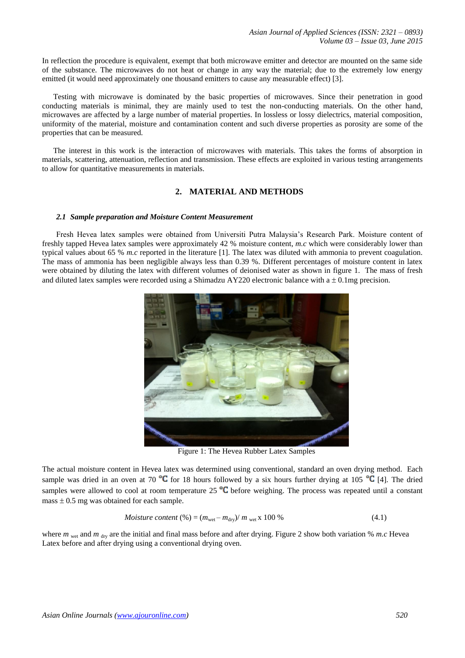In reflection the procedure is equivalent, exempt that both microwave emitter and detector are mounted on the same side of the substance. The microwaves do not heat or change in any way the material; due to the extremely low energy emitted (it would need approximately one thousand emitters to cause any measurable effect) [3].

Testing with microwave is dominated by the basic properties of microwaves. Since their penetration in good conducting materials is minimal, they are mainly used to test the non-conducting materials. On the other hand, microwaves are affected by a large number of material properties. In lossless or lossy dielectrics, material composition, uniformity of the material, moisture and contamination content and such diverse properties as porosity are some of the properties that can be measured.

The interest in this work is the interaction of microwaves with materials. This takes the forms of absorption in materials, scattering, attenuation, reflection and transmission. These effects are exploited in various testing arrangements to allow for quantitative measurements in materials.

# **2. MATERIAL AND METHODS**

#### *2.1 Sample preparation and Moisture Content Measurement*

Fresh Hevea latex samples were obtained from Universiti Putra Malaysia's Research Park. Moisture content of freshly tapped Hevea latex samples were approximately 42 % moisture content, *m.c* which were considerably lower than typical values about 65 % *m.c* reported in the literature [1]. The latex was diluted with ammonia to prevent coagulation. The mass of ammonia has been negligible always less than 0.39 %. Different percentages of moisture content in latex were obtained by diluting the latex with different volumes of deionised water as shown in figure 1. The mass of fresh and diluted latex samples were recorded using a Shimadzu AY220 electronic balance with  $a \pm 0.1$ mg precision.



Figure 1: The Hevea Rubber Latex Samples

The actual moisture content in Hevea latex was determined using conventional, standard an oven drying method. Each sample was dried in an oven at 70  $\degree$ C for 18 hours followed by a six hours further drying at 105  $\degree$ C [4]. The dried samples were allowed to cool at room temperature  $25^{\circ}C$  before weighing. The process was repeated until a constant mass  $\pm$  0.5 mg was obtained for each sample.

$$
Moisture content (%) = (mwet - mdry)/mwet x 100 %
$$
\n(4.1)

where *m* wet and *m* dry are the initial and final mass before and after drying. Figure 2 show both variation % *m.c* Hevea Latex before and after drying using a conventional drying oven.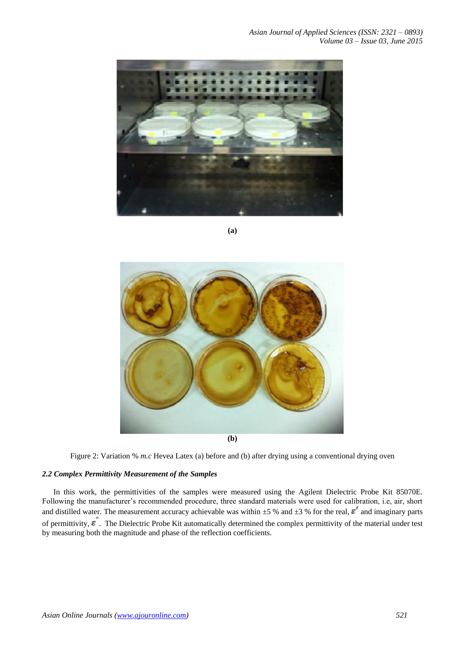

**(a)**



Figure 2: Variation % *m.c* Hevea Latex (a) before and (b) after drying using a conventional drying oven

## *2.2 Complex Permittivity Measurement of the Samples*

In this work, the permittivities of the samples were measured using the Agilent Dielectric Probe Kit 85070E. Following the manufacturer's recommended procedure, three standard materials were used for calibration, i.e, air, short and distilled water. The measurement accuracy achievable was within  $\pm 5$  % and  $\pm 3$  % for the real,  $\varepsilon'$  and imaginary parts of permittivity,  $\epsilon$ . The Dielectric Probe Kit automatically determined the complex permittivity of the material under test by measuring both the magnitude and phase of the reflection coefficients.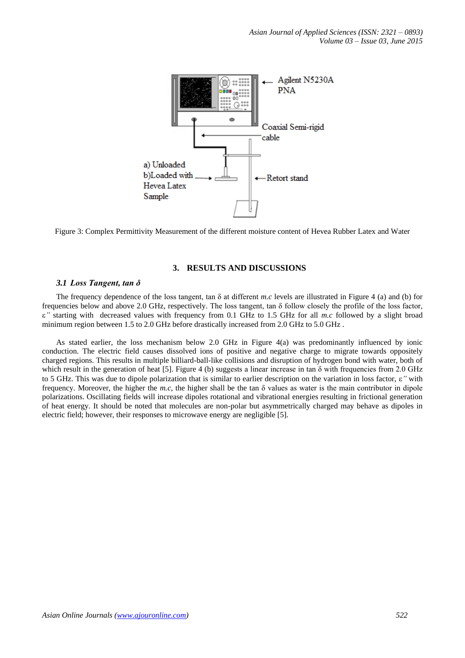

Figure 3: Complex Permittivity Measurement of the different moisture content of Hevea Rubber Latex and Water

## **3. RESULTS AND DISCUSSIONS**

#### *3.1 Loss Tangent, tan δ*

The frequency dependence of the loss tangent, tan  $\delta$  at different *m.c* levels are illustrated in Figure 4 (a) and (b) for frequencies below and above 2.0 GHz, respectively. The loss tangent, tan δ follow closely the profile of the loss factor, *"* starting with decreased values with frequency from 0.1 GHz to 1.5 GHz for all *m.c* followed by a slight broad minimum region between 1.5 to 2.0 GHz before drastically increased from 2.0 GHz to 5.0 GHz.

As stated earlier, the loss mechanism below 2.0 GHz in Figure 4(a) was predominantly influenced by ionic conduction. The electric field causes dissolved ions of positive and negative charge to migrate towards oppositely charged regions. This results in multiple billiard-ball-like collisions and disruption of hydrogen bond with water, both of which result in the generation of heat [5]. Figure 4 (b) suggests a linear increase in tan  $\delta$  with frequencies from 2.0 GHz to 5 GHz. This was due to dipole polarization that is similar to earlier description on the variation in loss factor, *"* with frequency. Moreover, the higher the  $m.c$ , the higher shall be the tan  $\delta$  values as water is the main contributor in dipole polarizations. Oscillating fields will increase dipoles rotational and vibrational energies resulting in frictional generation of heat energy. It should be noted that molecules are non-polar but asymmetrically charged may behave as dipoles in electric field; however, their responses to microwave energy are negligible [5].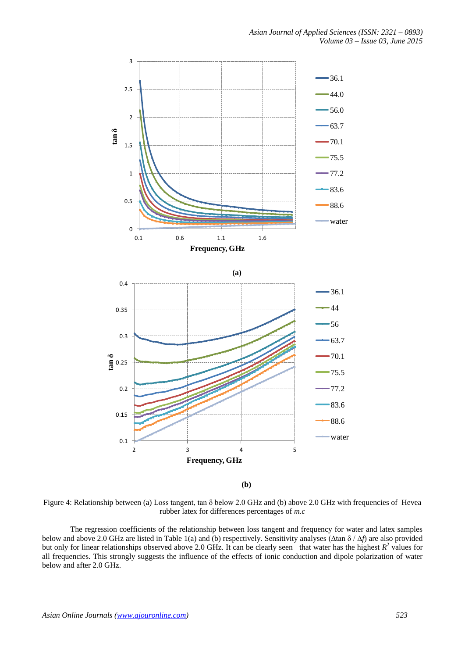

**(b)**

Figure 4: Relationship between (a) Loss tangent, tan δ below 2.0 GHz and (b) above 2.0 GHz with frequencies of Hevea rubber latex for differences percentages of *m.c*

The regression coefficients of the relationship between loss tangent and frequency for water and latex samples below and above 2.0 GHz are listed in Table 1(a) and (b) respectively. Sensitivity analyses (∆tan δ / ∆*f*) are also provided but only for linear relationships observed above 2.0 GHz. It can be clearly seen that water has the highest  $R^2$  values for all frequencies. This strongly suggests the influence of the effects of ionic conduction and dipole polarization of water below and after 2.0 GHz.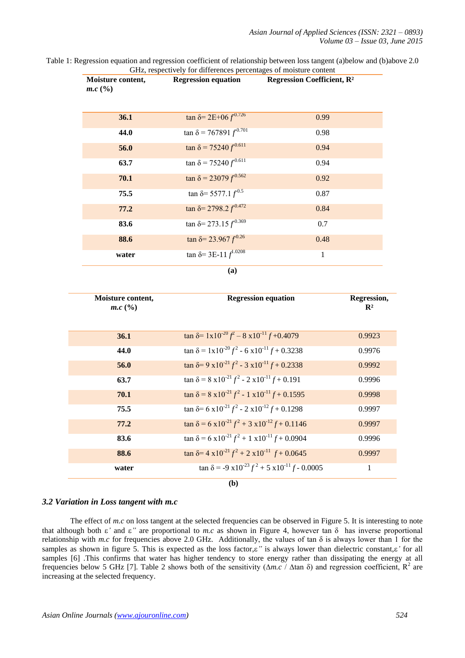Table 1: Regression equation and regression coefficient of relationship between loss tangent (a)below and (b)above 2.0 GHz, respectively for differences percentages of moisture content

| Moisture content,<br>$m.c$ (%) | <b>Regression equation</b>                                           | <b>Regression Coefficient, R2</b>                           |
|--------------------------------|----------------------------------------------------------------------|-------------------------------------------------------------|
| 36.1                           | $\tan \delta = 2E + 06 f^{0.726}$                                    | 0.99                                                        |
| 44.0                           | $\tan \delta = 767891 f^{0.701}$                                     | 0.98                                                        |
| 56.0                           | $\tan \delta = 75240 f^{0.611}$                                      | 0.94                                                        |
| 63.7                           | $\tan \delta = 75240 f^{0.611}$                                      | 0.94                                                        |
| 70.1                           | $\tan \delta = 23079 f^{0.562}$                                      | 0.92                                                        |
| 75.5                           | $\tan \delta = 5577.1 f^{0.5}$                                       | 0.87                                                        |
| 77.2                           | $\tan \delta = 2798.2 f^{0.472}$                                     | 0.84                                                        |
| 83.6                           | $\tan \delta = 273.15 f^{0.369}$                                     | 0.7                                                         |
| 88.6                           | $\tan \delta = 23.967 f^{0.26}$                                      | 0.48                                                        |
| water                          | $\tan \delta = 3E-11 f^{1.0208}$                                     | 1                                                           |
|                                | (a)                                                                  |                                                             |
| Moisture content,<br>$m.c$ (%) |                                                                      | <b>Regression equation</b><br>Regression,<br>$\mathbf{R}^2$ |
| 36.1                           | $\tan \delta = 1 \times 10^{-20} f^2 - 8 \times 10^{-11} f + 0.4079$ | 0.9923                                                      |
|                                |                                                                      |                                                             |

| $\boldsymbol{m}$ . $\boldsymbol{c}$ ( /0) |                                                                       | X.     |
|-------------------------------------------|-----------------------------------------------------------------------|--------|
|                                           |                                                                       |        |
| 36.1                                      | $\tan \delta = 1 \times 10^{-20} f^2 - 8 \times 10^{-11} f + 0.4079$  | 0.9923 |
| 44.0                                      | $\tan \delta = 1 \times 10^{-20} f^2 - 6 \times 10^{-11} f + 0.3238$  | 0.9976 |
| 56.0                                      | $\tan \delta = 9 \times 10^{-21} f^2 - 3 \times 10^{-11} f + 0.2338$  | 0.9992 |
| 63.7                                      | $\tan \delta = 8 \times 10^{-21} f^2 - 2 \times 10^{-11} f + 0.191$   | 0.9996 |
| 70.1                                      | $\tan \delta = 8 \times 10^{-21} f^2 - 1 \times 10^{-11} f + 0.1595$  | 0.9998 |
| 75.5                                      | $\tan \delta = 6 \times 10^{-21} f^2 - 2 \times 10^{-12} f + 0.1298$  | 0.9997 |
| 77.2                                      | $\tan \delta = 6 \times 10^{-21} f^2 + 3 \times 10^{-12} f + 0.1146$  | 0.9997 |
| 83.6                                      | $\tan \delta = 6 \times 10^{-21} f^2 + 1 \times 10^{-11} f + 0.0904$  | 0.9996 |
| 88.6                                      | $\tan \delta = 4 \times 10^{-21} f^2 + 2 \times 10^{-11} f + 0.0645$  | 0.9997 |
| water                                     | $\tan \delta = -9 \times 10^{-23} f^2 + 5 \times 10^{-11} f - 0.0005$ | 1      |
|                                           | (b)                                                                   |        |

## *3.2 Variation in Loss tangent with m.c*

The effect of *m.c* on loss tangent at the selected frequencies can be observed in Figure 5. It is interesting to note that although both  $\epsilon'$  and  $\epsilon''$  are proportional to *m.c* as shown in Figure 4, however tan  $\delta$  has inverse proportional relationship with *m.c* for frequencies above 2.0 GHz. Additionally, the values of tan δ is always lower than 1 for the samples as shown in figure 5. This is expected as the loss factor, $\varepsilon$ " is always lower than dielectric constant, $\varepsilon$ ' for all samples [6] .This confirms that water has higher tendency to store energy rather than dissipating the energy at all frequencies below 5 GHz [7]. Table 2 shows both of the sensitivity ( $\Delta m.c$  /  $\Delta \tan \delta$ ) and regression coefficient, R<sup>2</sup> are increasing at the selected frequency.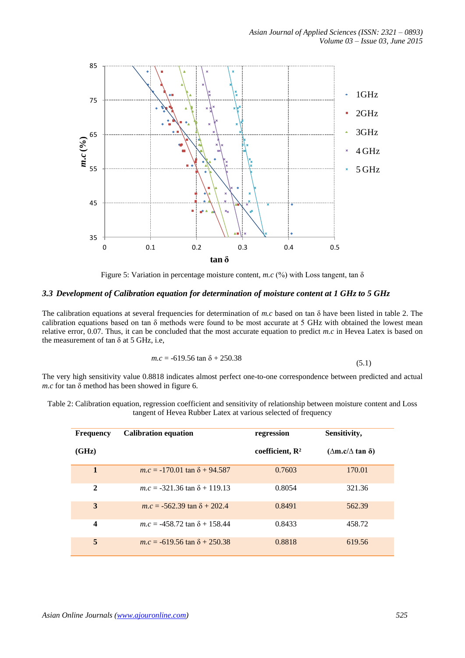

Figure 5: Variation in percentage moisture content, *m.c* (%) with Loss tangent, tan δ

## *3.3 Development of Calibration equation for determination of moisture content at 1 GHz to 5 GHz*

The calibration equations at several frequencies for determination of *m.c* based on tan δ have been listed in table 2. The calibration equations based on tan δ methods were found to be most accurate at 5 GHz with obtained the lowest mean relative error, 0.07. Thus, it can be concluded that the most accurate equation to predict *m.c* in Hevea Latex is based on the measurement of tan  $\delta$  at 5 GHz, i.e.

$$
m.c = -619.56 \tan \delta + 250.38 \tag{5.1}
$$

The very high sensitivity value 0.8818 indicates almost perfect one-to-one correspondence between predicted and actual *m.c* for tan δ method has been showed in figure 6.

| Table 2: Calibration equation, regression coefficient and sensitivity of relationship between moisture content and Loss |  |  |  |  |  |  |
|-------------------------------------------------------------------------------------------------------------------------|--|--|--|--|--|--|
| tangent of Hevea Rubber Latex at various selected of frequency                                                          |  |  |  |  |  |  |

| <b>Frequency</b>        | <b>Calibration equation</b>           | regression                  | Sensitivity,                      |
|-------------------------|---------------------------------------|-----------------------------|-----------------------------------|
| (GHz)                   |                                       | coefficient, $\mathbb{R}^2$ | $(\Delta m.c/\Delta \tan \delta)$ |
| $\mathbf{1}$            | $m.c = -170.01 \tan \delta + 94.587$  | 0.7603                      | 170.01                            |
| $\mathbf{2}$            | $m.c = -321.36 \tan \delta + 119.13$  | 0.8054                      | 321.36                            |
| 3                       | $m.c = -562.39 \tan \delta + 202.4$   | 0.8491                      | 562.39                            |
| $\overline{\mathbf{4}}$ | $m.c = -458.72$ tan $\delta + 158.44$ | 0.8433                      | 458.72                            |
| 5                       | $m.c = -619.56 \tan \delta + 250.38$  | 0.8818                      | 619.56                            |